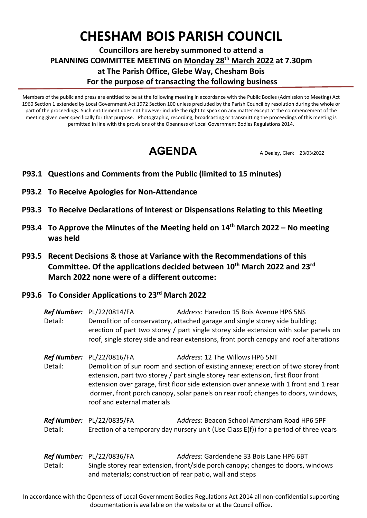## **CHESHAM BOIS PARISH COUNCIL**

**Councillors are hereby summoned to attend a PLANNING COMMITTEE MEETING on Monday 28th March 2022 at 7.30pm at The Parish Office, Glebe Way, Chesham Bois For the purpose of transacting the following business**

Members of the public and press are entitled to be at the following meeting in accordance with the Public Bodies (Admission to Meeting) Act 1960 Section 1 extended by Local Government Act 1972 Section 100 unless precluded by the Parish Council by resolution during the whole or part of the proceedings. Such entitlement does not however include the right to speak on any matter except at the commencement of the meeting given over specifically for that purpose. Photographic, recording, broadcasting or transmitting the proceedings of this meeting is permitted in line with the provisions of the Openness of Local Government Bodies Regulations 2014.

**AGENDA** A Dealey, Clerk 23/03/2022

- **<sup>P</sup>P93.1 Questions and Comments from the Public (limited to 15 minutes)**
- **P93.2 To Receive Apologies for Non-Attendance**
- **P93.3 To Receive Declarations of Interest or Dispensations Relating to this Meeting**
- **P93.4 To Approve the Minutes of the Meeting held on 14th March 2022 – No meeting was held**
- **P93.5 Recent Decisions & those at Variance with the Recommendations of this Committee. Of the applications decided between 10th March 2022 and 23rd March 2022 none were of a different outcome:**
- **P93.6 To Consider Applications to 23rd March 2022**

*Ref Number:* PL/22/0814/FA A*ddress*: Haredon 15 Bois Avenue HP6 5NS Detail: Demolition of conservatory, attached garage and single storey side building; erection of part two storey / part single storey side extension with solar panels on roof, single storey side and rear extensions, front porch canopy and roof alterations

*Ref Number:* PL/22/0816/FA Address: 12 The Willows HP6 5NT Detail: Demolition of sun room and section of existing annexe; erection of two storey front extension, part two storey / part single storey rear extension, first floor front extension over garage, first floor side extension over annexe with 1 front and 1 rear dormer, front porch canopy, solar panels on rear roof; changes to doors, windows, roof and external materials

*Ref Number:* PL/22/0835/FA A*ddress*: Beacon School Amersham Road HP6 5PF Detail: Erection of a temporary day nursery unit (Use Class E(f)) for a period of three years

*Ref Number:* PL/22/0836/FA A*ddress*: Gardendene 33 Bois Lane HP6 6BT Detail: Single storey rear extension, front/side porch canopy; changes to doors, windows and materials; construction of rear patio, wall and steps

In accordance with the Openness of Local Government Bodies Regulations Act 2014 all non-confidential supporting documentation is available on the website or at the Council office.